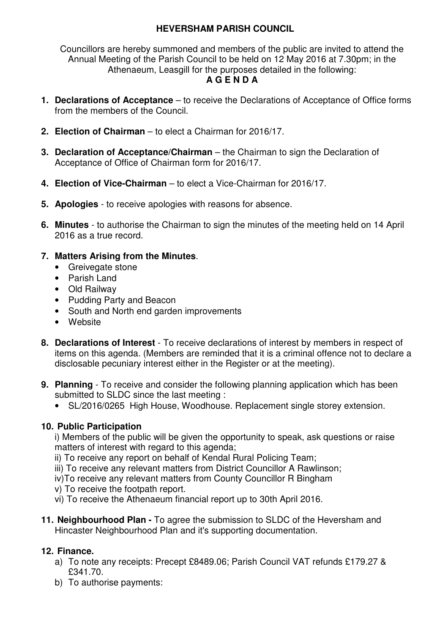## **HEVERSHAM PARISH COUNCIL**

Councillors are hereby summoned and members of the public are invited to attend the Annual Meeting of the Parish Council to be held on 12 May 2016 at 7.30pm; in the Athenaeum, Leasgill for the purposes detailed in the following: **A G E N D A** 

- **1. Declarations of Acceptance** to receive the Declarations of Acceptance of Office forms from the members of the Council.
- **2. Election of Chairman**  to elect a Chairman for 2016/17.
- **3. Declaration of Acceptance/Chairman** the Chairman to sign the Declaration of Acceptance of Office of Chairman form for 2016/17.
- **4. Election of Vice-Chairman**  to elect a Vice-Chairman for 2016/17.
- **5. Apologies** to receive apologies with reasons for absence.
- **6. Minutes** to authorise the Chairman to sign the minutes of the meeting held on 14 April 2016 as a true record.

## **7. Matters Arising from the Minutes**.

- Greivegate stone
- Parish Land
- Old Railway
- Pudding Party and Beacon
- South and North end garden improvements
- Website
- **8. Declarations of Interest** To receive declarations of interest by members in respect of items on this agenda. (Members are reminded that it is a criminal offence not to declare a disclosable pecuniary interest either in the Register or at the meeting).
- **9. Planning**  To receive and consider the following planning application which has been submitted to SLDC since the last meeting :
	- SL/2016/0265 High House, Woodhouse. Replacement single storey extension.

## **10. Public Participation**

i) Members of the public will be given the opportunity to speak, ask questions or raise matters of interest with regard to this agenda;

- ii) To receive any report on behalf of Kendal Rural Policing Team;
- iii) To receive any relevant matters from District Councillor A Rawlinson;
- iv)To receive any relevant matters from County Councillor R Bingham
- v) To receive the footpath report.
- vi) To receive the Athenaeum financial report up to 30th April 2016.
- **11. Neighbourhood Plan** To agree the submission to SLDC of the Heversham and Hincaster Neighbourhood Plan and it's supporting documentation.

# **12. Finance.**

- a) To note any receipts: Precept £8489.06; Parish Council VAT refunds £179.27 & £341.70.
- b) To authorise payments: